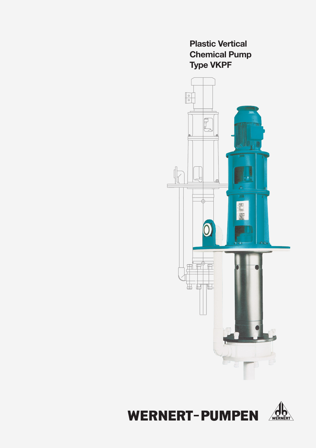**Plastic Vertical Chemical Pump Type VKPF** 



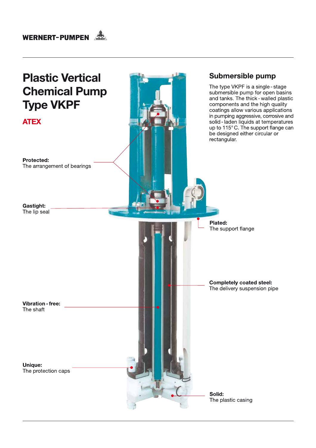

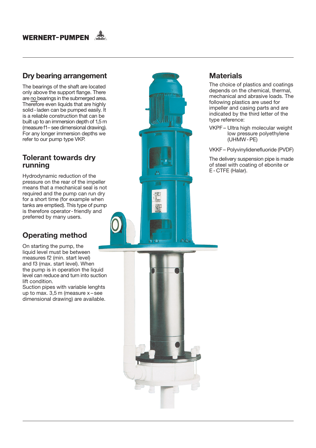## Dry bearing arrangement

The bearings of the shaft are located only above the support flange. There are no bearings in the submerged area. Therefore even liquids that are highly solid - laden can be pumped easily. It is a reliable construction that can be built up to an immersion depth of 1,5 m (measure f1-see dimensional drawing). For any longer immersion depths we refer to our pump type VKP.

## **Tolerant towards dry** running

Hydrodynamic reduction of the pressure on the rear of the impeller means that a mechanical seal is not required and the pump can run dry for a short time (for example when tanks are emptied). This type of pump is therefore operator-friendly and preferred by many users.

# **Operating method**

On starting the pump, the liquid level must be between measures f2 (min. start level) and f3 (max. start level). When the pump is in operation the liquid level can reduce and turn into suction lift condition.

Suction pipes with variable lenghts up to max.  $3,5$  m (measure  $x$  – see dimensional drawing) are available.

### The choice of plastics and coatings depends on the chemical, thermal, mechanical and abrasive loads. The following plastics are used for

**Materials** 

impeller and casing parts and are indicated by the third letter of the type reference:

VKPF- Ultra high molecular weight low pressure polyethylene  $(UHMW - PE)$ 

VKKF-Polyvinylidenefluoride (PVDF)

The delivery suspension pipe is made of steel with coating of ebonite or E-CTFE (Halar).

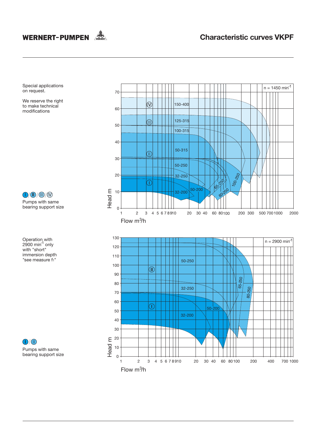

 $n = 1450$  min<sup>-1</sup>

Special applications<br>on request.

We reserve the right to make technical modifications

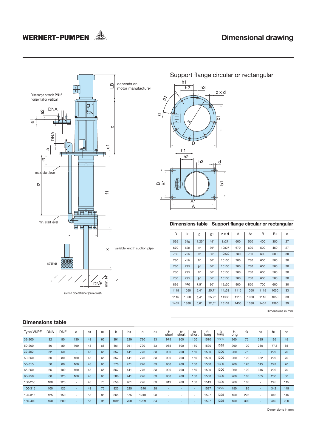# WERNERT-PUMPEN



Support flange circular or rectangular  $h1$  $h2$ h3 z x d ö o  $h1$  $h2$  $h3$  ${\sf d}$ E  $\boldsymbol{\underline{\omega}}$ Гó 51 里  $\overline{A1}$ А

#### Dimensions table Support flange circular or rectangular

| D    | k    | g             | g <sub>1</sub> | zxd   | Α    | A1   | B    | B <sub>1</sub> | d  |
|------|------|---------------|----------------|-------|------|------|------|----------------|----|
| 565  | 515  | $11,25^\circ$ | $45^\circ$     | 8x27  | 600  | 550  | 400  | 350            | 27 |
| 670  | 620  | $9^{\circ}$   | $36^\circ$     | 10x27 | 670  | 620  | 500  | 450            | 27 |
| 780  | 725  | $9^\circ$     | $36^\circ$     | 10x30 | 780  | 730  | 600  | 500            | 30 |
| 780  | 725  | $9^\circ$     | $36^\circ$     | 10x30 | 780  | 730  | 600  | 500            | 30 |
| 780  | 725  | $9^\circ$     | $36^\circ$     | 10x30 | 780  | 730  | 600  | 500            | 30 |
| 780  | 725  | $9^{\circ}$   | $36^\circ$     | 10x30 | 780  | 730  | 600  | 500            | 30 |
| 780  | 725  | $9^\circ$     | $36^\circ$     | 10x30 | 780  | 730  | 600  | 500            | 30 |
| 895  | 840  | $7.5^\circ$   | $30^\circ$     | 12x30 | 900  | 850  | 700  | 600            | 30 |
| 1115 | 1050 | $6.4^\circ$   | $25.7^\circ$   | 14x33 | 1115 | 1050 | 1115 | 1050           | 33 |
| 1115 | 1050 | $6.4^\circ$   | $25.7^\circ$   | 14x33 | 1115 | 1050 | 1115 | 1050           | 33 |
| 1455 | 1380 | $5.6^\circ$   | $22.5^\circ$   | 16x39 | 1455 | 1380 | 1455 | 1380           | 39 |

Dimensions in mm

| <b>Dimensions table</b> |            |            |                          |                |                |      |                |      |                |             |             |                          |            |                        |               |                |                          |                |                |
|-------------------------|------------|------------|--------------------------|----------------|----------------|------|----------------|------|----------------|-------------|-------------|--------------------------|------------|------------------------|---------------|----------------|--------------------------|----------------|----------------|
| <b>Type VKPF</b>        | <b>DNA</b> | <b>DNE</b> | a                        | a <sub>1</sub> | a <sub>2</sub> | b    | b <sub>1</sub> | C    | C <sub>1</sub> | f1<br>short | f2<br>short | fз<br>short              | f1<br>long | f <sub>2</sub><br>long | $f_3$<br>long | f <sub>4</sub> | h1                       | h <sub>2</sub> | h <sub>3</sub> |
| 32-200                  | 32         | 50         | 130                      | 48             | 65             | 391  | 329            | 720  | 33             | 975         | 800         | 150                      | 1510       | 1335                   | 260           | 75             | 235                      | 165            | 45             |
| 50-200                  | 50         | 80         | 160                      | 48             | 65             | 461  | 361            | 720  | 33             | 985         | 800         | 150                      | 1520       | 1335                   | 260           | 120            | 280                      | 177,5          | 65             |
| 32-250                  | 32         | 50         | ۰.                       | 48             | 65             | 557  | 441            | 776  | 33             | 900         | 700         | 150                      | 1500       | 1300                   | 260           | 75             | н.                       | 229            | 70             |
| 50-250                  | 50         | 80         | 160                      | 48             | 65             | 557  | 441            | 776  | 33             | 900         | 700         | 150                      | 1500       | 1300                   | 260           | 120            | 332                      | 229            | 70             |
| 50-315                  | 50         | 80         | 160                      | 48             | 65             | 570  | 471            | 776  | 33             | 900         | 700         | 150                      | 1500       | 1300                   | 260           | 120            | 345                      | 242            | 70             |
| 65-250                  | 65         | 100        | 160                      | 48             | 65             | 567  | 441            | 776  | 33             | 900         | 700         | 150                      | 1500       | 1300                   | 260           | 120            | 345                      | 229            | 70             |
| 80-250                  | 80         | 125        | 160                      | 48             | 65             | 586  | 441            | 776  | 33             | 900         | 700         | 150                      | 1500       | 1300                   | 260           | 185            | 365                      | 230            | 80             |
| 100-250                 | 100        | 125        | ۰.                       | 48             | 75             | 658  | 461            | 776  | 33             | 919         | 700         | 150                      | 1519       | 1300                   | 260           | 185            | $\overline{\phantom{a}}$ | 245            | 115            |
| 100-315                 | 100        | 125        | ۰.                       | 48             | 75             | 825  | 525            | 1240 | 28             | $\sim$      | ۰.          | $\sim$                   | 1527       | 1225                   | 150           | 185            | $\overline{a}$           | 342            | 145            |
| 125-315                 | 125        | 150        | $\overline{\phantom{a}}$ | 55             | 85             | 865  | 575            | 1240 | 28             | $\sim$      | -           | $\overline{\phantom{a}}$ | 1527       | 1225                   | 150           | 225            | $\overline{\phantom{a}}$ | 342            | 145            |
| 150-400                 | 150        | 200        | -                        | 55             | 95             | 1095 | 700            | 1229 | 34             | $\sim$      | <b>.</b>    |                          | 1527       | 1225                   | 150           | 300            | $\overline{\phantom{a}}$ | 440            | 200            |

#### Dimensions in mm